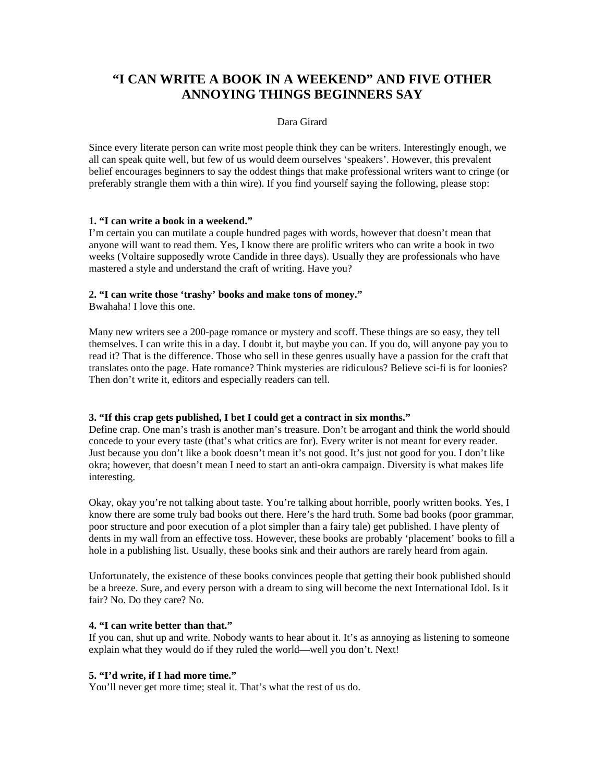# **"I CAN WRITE A BOOK IN A WEEKEND" AND FIVE OTHER ANNOYING THINGS BEGINNERS SAY**

#### Dara Girard

Since every literate person can write most people think they can be writers. Interestingly enough, we all can speak quite well, but few of us would deem ourselves 'speakers'. However, this prevalent belief encourages beginners to say the oddest things that make professional writers want to cringe (or preferably strangle them with a thin wire). If you find yourself saying the following, please stop:

#### **1. "I can write a book in a weekend."**

I'm certain you can mutilate a couple hundred pages with words, however that doesn't mean that anyone will want to read them. Yes, I know there are prolific writers who can write a book in two weeks (Voltaire supposedly wrote Candide in three days). Usually they are professionals who have mastered a style and understand the craft of writing. Have you?

# **2. "I can write those 'trashy' books and make tons of money."**

Bwahaha! I love this one.

Many new writers see a 200-page romance or mystery and scoff. These things are so easy, they tell themselves. I can write this in a day. I doubt it, but maybe you can. If you do, will anyone pay you to read it? That is the difference. Those who sell in these genres usually have a passion for the craft that translates onto the page. Hate romance? Think mysteries are ridiculous? Believe sci-fi is for loonies? Then don't write it, editors and especially readers can tell.

#### **3. "If this crap gets published, I bet I could get a contract in six months."**

Define crap. One man's trash is another man's treasure. Don't be arrogant and think the world should concede to your every taste (that's what critics are for). Every writer is not meant for every reader. Just because you don't like a book doesn't mean it's not good. It's just not good for you. I don't like okra; however, that doesn't mean I need to start an anti-okra campaign. Diversity is what makes life interesting.

Okay, okay you're not talking about taste. You're talking about horrible, poorly written books. Yes, I know there are some truly bad books out there. Here's the hard truth. Some bad books (poor grammar, poor structure and poor execution of a plot simpler than a fairy tale) get published. I have plenty of dents in my wall from an effective toss. However, these books are probably 'placement' books to fill a hole in a publishing list. Usually, these books sink and their authors are rarely heard from again.

Unfortunately, the existence of these books convinces people that getting their book published should be a breeze. Sure, and every person with a dream to sing will become the next International Idol. Is it fair? No. Do they care? No.

#### **4. "I can write better than that."**

If you can, shut up and write. Nobody wants to hear about it. It's as annoying as listening to someone explain what they would do if they ruled the world—well you don't. Next!

## **5. "I'd write, if I had more time."**

You'll never get more time; steal it. That's what the rest of us do.